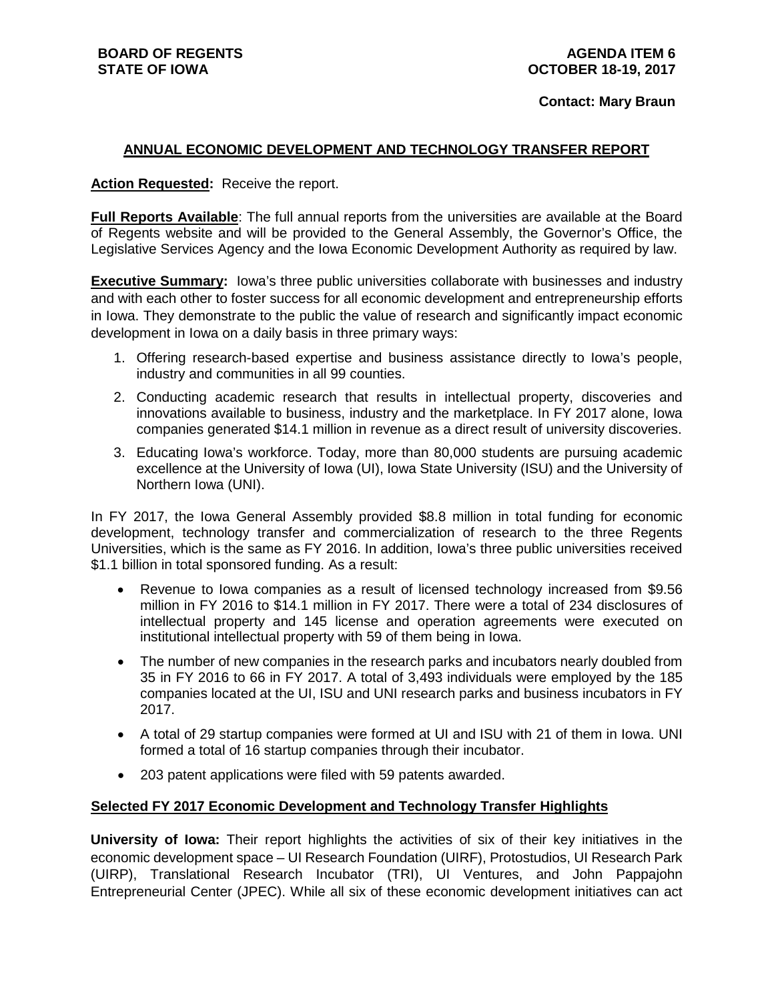## **Contact: Mary Braun**

# **ANNUAL ECONOMIC DEVELOPMENT AND TECHNOLOGY TRANSFER REPORT**

## **Action Requested:** Receive the report.

**Full Reports Available**: The full annual reports from the universities are available at the Board of Regents website and will be provided to the General Assembly, the Governor's Office, the Legislative Services Agency and the Iowa Economic Development Authority as required by law.

**Executive Summary:** Iowa's three public universities collaborate with businesses and industry and with each other to foster success for all economic development and entrepreneurship efforts in Iowa. They demonstrate to the public the value of research and significantly impact economic development in Iowa on a daily basis in three primary ways:

- 1. Offering research-based expertise and business assistance directly to Iowa's people, industry and communities in all 99 counties.
- 2. Conducting academic research that results in intellectual property, discoveries and innovations available to business, industry and the marketplace. In FY 2017 alone, Iowa companies generated \$14.1 million in revenue as a direct result of university discoveries.
- 3. Educating Iowa's workforce. Today, more than 80,000 students are pursuing academic excellence at the University of Iowa (UI), Iowa State University (ISU) and the University of Northern Iowa (UNI).

In FY 2017, the Iowa General Assembly provided \$8.8 million in total funding for economic development, technology transfer and commercialization of research to the three Regents Universities, which is the same as FY 2016. In addition, Iowa's three public universities received \$1.1 billion in total sponsored funding. As a result:

- Revenue to Iowa companies as a result of licensed technology increased from \$9.56 million in FY 2016 to \$14.1 million in FY 2017. There were a total of 234 disclosures of intellectual property and 145 license and operation agreements were executed on institutional intellectual property with 59 of them being in Iowa.
- The number of new companies in the research parks and incubators nearly doubled from 35 in FY 2016 to 66 in FY 2017. A total of 3,493 individuals were employed by the 185 companies located at the UI, ISU and UNI research parks and business incubators in FY 2017.
- A total of 29 startup companies were formed at UI and ISU with 21 of them in Iowa. UNI formed a total of 16 startup companies through their incubator.
- 203 patent applications were filed with 59 patents awarded.

## **Selected FY 2017 Economic Development and Technology Transfer Highlights**

**University of Iowa:** Their report highlights the activities of six of their key initiatives in the economic development space – UI Research Foundation (UIRF), Protostudios, UI Research Park (UIRP), Translational Research Incubator (TRI), UI Ventures, and John Pappajohn Entrepreneurial Center (JPEC). While all six of these economic development initiatives can act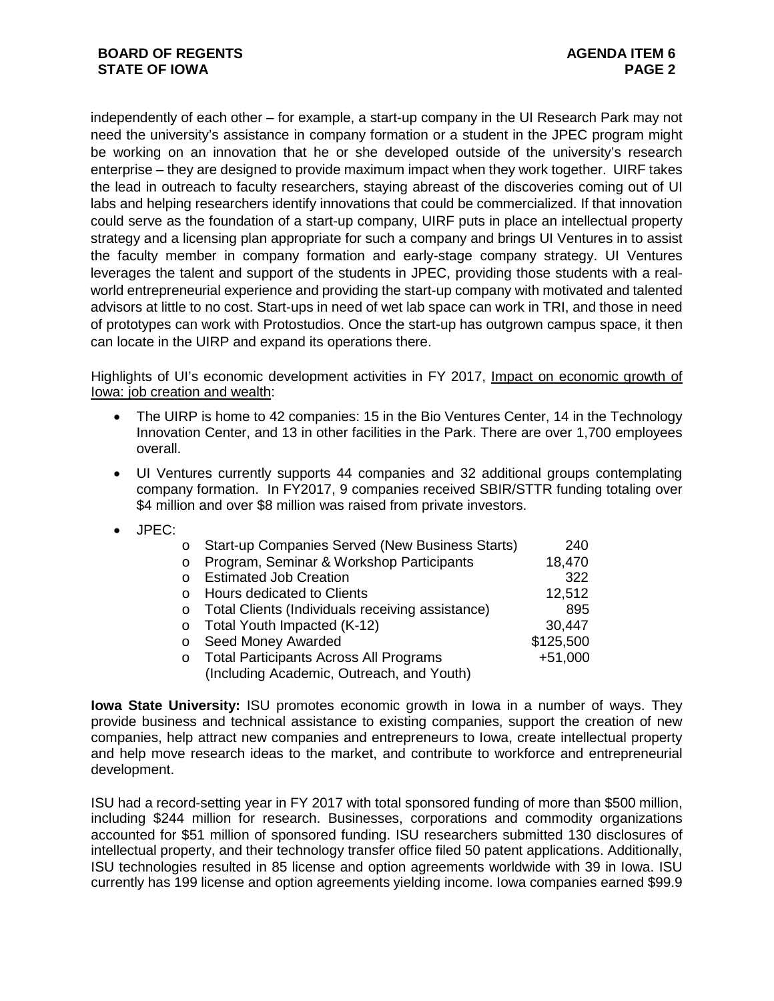independently of each other – for example, a start-up company in the UI Research Park may not need the university's assistance in company formation or a student in the JPEC program might be working on an innovation that he or she developed outside of the university's research enterprise – they are designed to provide maximum impact when they work together. UIRF takes the lead in outreach to faculty researchers, staying abreast of the discoveries coming out of UI labs and helping researchers identify innovations that could be commercialized. If that innovation could serve as the foundation of a start-up company, UIRF puts in place an intellectual property strategy and a licensing plan appropriate for such a company and brings UI Ventures in to assist the faculty member in company formation and early-stage company strategy. UI Ventures leverages the talent and support of the students in JPEC, providing those students with a realworld entrepreneurial experience and providing the start-up company with motivated and talented advisors at little to no cost. Start-ups in need of wet lab space can work in TRI, and those in need of prototypes can work with Protostudios. Once the start-up has outgrown campus space, it then can locate in the UIRP and expand its operations there.

Highlights of UI's economic development activities in FY 2017, Impact on economic growth of Iowa: job creation and wealth:

- The UIRP is home to 42 companies: 15 in the Bio Ventures Center, 14 in the Technology Innovation Center, and 13 in other facilities in the Park. There are over 1,700 employees overall.
- UI Ventures currently supports 44 companies and 32 additional groups contemplating company formation. In FY2017, 9 companies received SBIR/STTR funding totaling over \$4 million and over \$8 million was raised from private investors.
- JPEC:

| O        | Start-up Companies Served (New Business Starts)  | 240       |
|----------|--------------------------------------------------|-----------|
| O        | Program, Seminar & Workshop Participants         | 18,470    |
| $\Omega$ | <b>Estimated Job Creation</b>                    | 322       |
| O        | Hours dedicated to Clients                       | 12,512    |
| 0        | Total Clients (Individuals receiving assistance) | 895       |
| O        | Total Youth Impacted (K-12)                      | 30,447    |
| O        | Seed Money Awarded                               | \$125,500 |
| O        | <b>Total Participants Across All Programs</b>    | $+51,000$ |
|          | (Including Academic, Outreach, and Youth)        |           |

**Iowa State University:** ISU promotes economic growth in Iowa in a number of ways. They provide business and technical assistance to existing companies, support the creation of new companies, help attract new companies and entrepreneurs to Iowa, create intellectual property and help move research ideas to the market, and contribute to workforce and entrepreneurial development.

ISU had a record-setting year in FY 2017 with total sponsored funding of more than \$500 million, including \$244 million for research. Businesses, corporations and commodity organizations accounted for \$51 million of sponsored funding. ISU researchers submitted 130 disclosures of intellectual property, and their technology transfer office filed 50 patent applications. Additionally, ISU technologies resulted in 85 license and option agreements worldwide with 39 in Iowa. ISU currently has 199 license and option agreements yielding income. Iowa companies earned \$99.9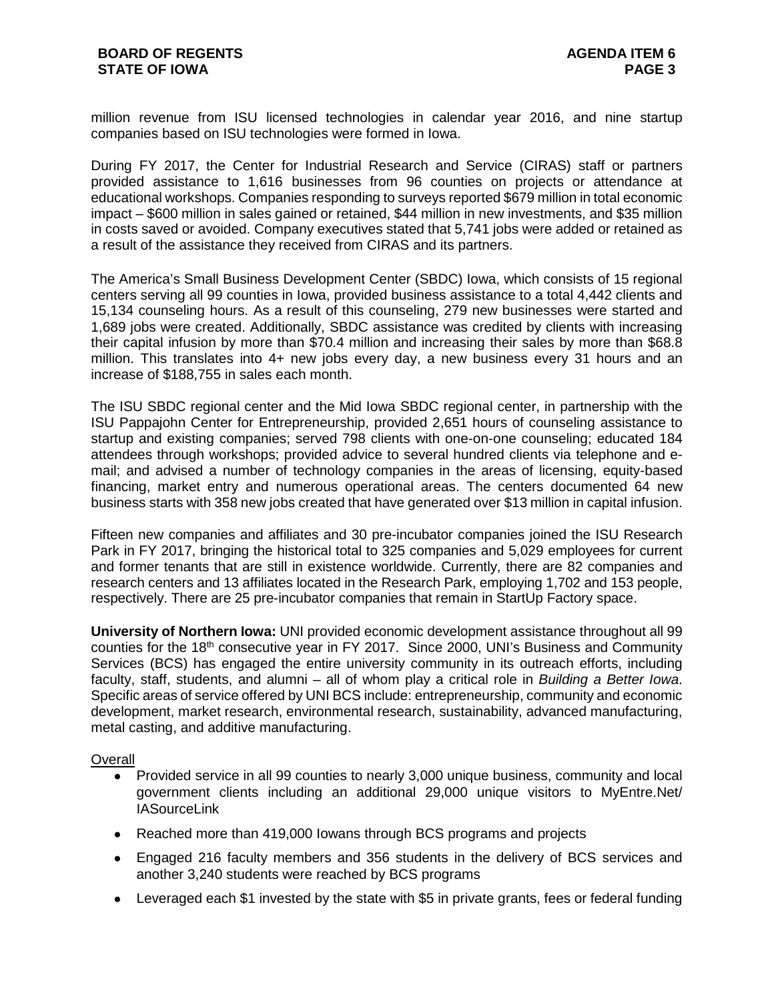million revenue from ISU licensed technologies in calendar year 2016, and nine startup companies based on ISU technologies were formed in Iowa.

During FY 2017, the Center for Industrial Research and Service (CIRAS) staff or partners provided assistance to 1,616 businesses from 96 counties on projects or attendance at educational workshops. Companies responding to surveys reported \$679 million in total economic impact – \$600 million in sales gained or retained, \$44 million in new investments, and \$35 million in costs saved or avoided. Company executives stated that 5,741 jobs were added or retained as a result of the assistance they received from CIRAS and its partners.

The America's Small Business Development Center (SBDC) Iowa, which consists of 15 regional centers serving all 99 counties in Iowa, provided business assistance to a total 4,442 clients and 15,134 counseling hours. As a result of this counseling, 279 new businesses were started and 1,689 jobs were created. Additionally, SBDC assistance was credited by clients with increasing their capital infusion by more than \$70.4 million and increasing their sales by more than \$68.8 million. This translates into 4+ new jobs every day, a new business every 31 hours and an increase of \$188,755 in sales each month.

The ISU SBDC regional center and the Mid Iowa SBDC regional center, in partnership with the ISU Pappajohn Center for Entrepreneurship, provided 2,651 hours of counseling assistance to startup and existing companies; served 798 clients with one-on-one counseling; educated 184 attendees through workshops; provided advice to several hundred clients via telephone and email; and advised a number of technology companies in the areas of licensing, equity-based financing, market entry and numerous operational areas. The centers documented 64 new business starts with 358 new jobs created that have generated over \$13 million in capital infusion.

Fifteen new companies and affiliates and 30 pre-incubator companies joined the ISU Research Park in FY 2017, bringing the historical total to 325 companies and 5,029 employees for current and former tenants that are still in existence worldwide. Currently, there are 82 companies and research centers and 13 affiliates located in the Research Park, employing 1,702 and 153 people, respectively. There are 25 pre-incubator companies that remain in StartUp Factory space.

**University of Northern Iowa:** UNI provided economic development assistance throughout all 99 counties for the 18<sup>th</sup> consecutive year in FY 2017. Since 2000, UNI's Business and Community Services (BCS) has engaged the entire university community in its outreach efforts, including faculty, staff, students, and alumni – all of whom play a critical role in *Building a Better Iowa*. Specific areas of service offered by UNI BCS include: entrepreneurship, community and economic development, market research, environmental research, sustainability, advanced manufacturing, metal casting, and additive manufacturing.

## **Overall**

- Provided service in all 99 counties to nearly 3,000 unique business, community and local government clients including an additional 29,000 unique visitors to MyEntre.Net/ **IASourceLink**
- Reached more than 419,000 lowans through BCS programs and projects
- Engaged 216 faculty members and 356 students in the delivery of BCS services and another 3,240 students were reached by BCS programs
- Leveraged each \$1 invested by the state with \$5 in private grants, fees or federal funding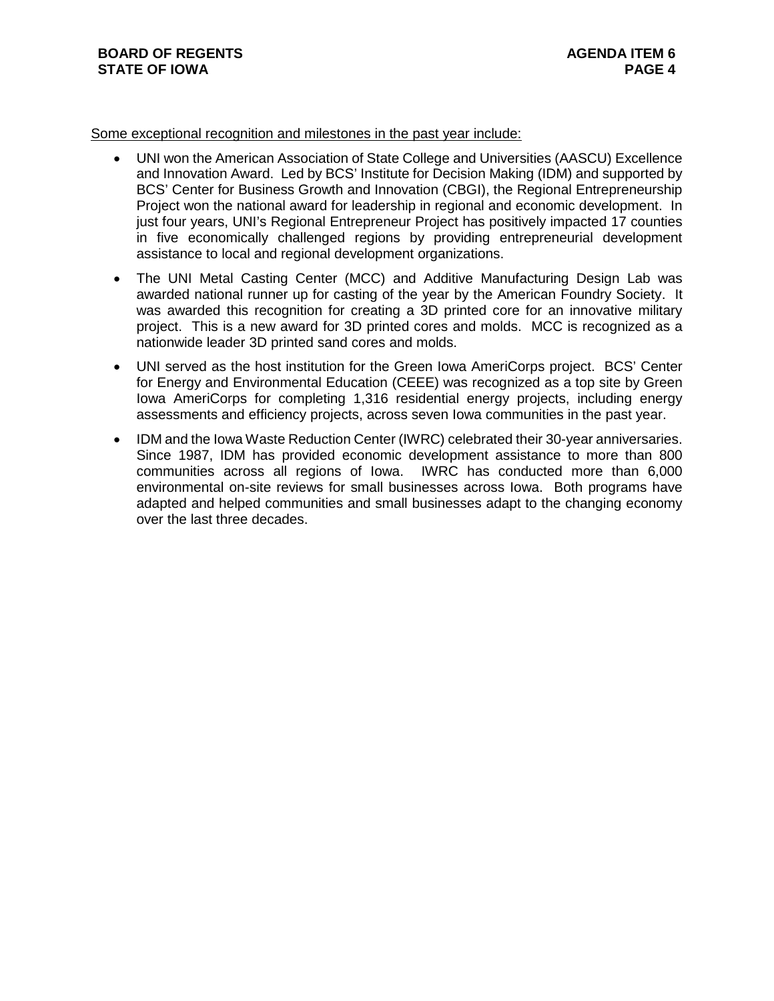#### Some exceptional recognition and milestones in the past year include:

- UNI won the American Association of State College and Universities (AASCU) Excellence and Innovation Award. Led by BCS' Institute for Decision Making (IDM) and supported by BCS' Center for Business Growth and Innovation (CBGI), the Regional Entrepreneurship Project won the national award for leadership in regional and economic development. In just four years, UNI's Regional Entrepreneur Project has positively impacted 17 counties in five economically challenged regions by providing entrepreneurial development assistance to local and regional development organizations.
- The UNI Metal Casting Center (MCC) and Additive Manufacturing Design Lab was awarded national runner up for casting of the year by the American Foundry Society. It was awarded this recognition for creating a 3D printed core for an innovative military project. This is a new award for 3D printed cores and molds. MCC is recognized as a nationwide leader 3D printed sand cores and molds.
- UNI served as the host institution for the Green Iowa AmeriCorps project. BCS' Center for Energy and Environmental Education (CEEE) was recognized as a top site by Green Iowa AmeriCorps for completing 1,316 residential energy projects, including energy assessments and efficiency projects, across seven Iowa communities in the past year.
- IDM and the Iowa Waste Reduction Center (IWRC) celebrated their 30-year anniversaries. Since 1987, IDM has provided economic development assistance to more than 800 communities across all regions of Iowa. IWRC has conducted more than 6,000 environmental on-site reviews for small businesses across Iowa. Both programs have adapted and helped communities and small businesses adapt to the changing economy over the last three decades.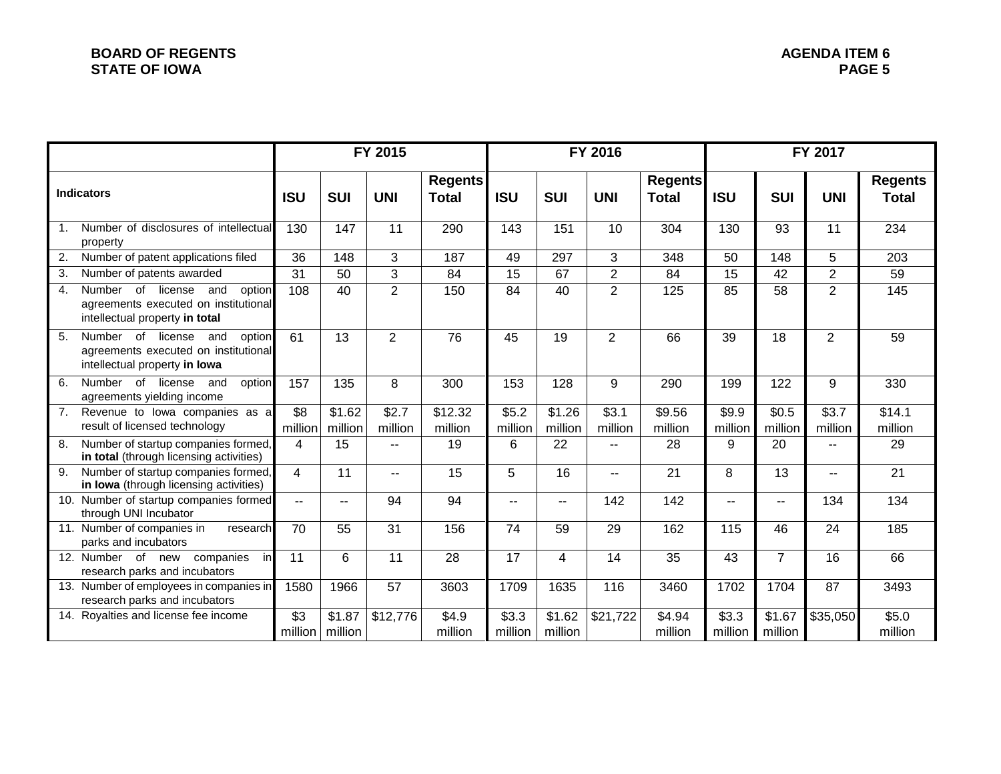|                   |                                                                                                                 | FY 2015        |                                       |                          |                                |                  | FY 2016           |                          | FY 2017                        |                          |                          |                  |                                |
|-------------------|-----------------------------------------------------------------------------------------------------------------|----------------|---------------------------------------|--------------------------|--------------------------------|------------------|-------------------|--------------------------|--------------------------------|--------------------------|--------------------------|------------------|--------------------------------|
| <b>Indicators</b> |                                                                                                                 | <b>ISU</b>     | <b>SUI</b>                            | <b>UNI</b>               | <b>Regents</b><br><b>Total</b> | <b>ISU</b>       | <b>SUI</b>        | <b>UNI</b>               | <b>Regents</b><br><b>Total</b> | <b>ISU</b>               | <b>SUI</b>               | <b>UNI</b>       | <b>Regents</b><br><b>Total</b> |
| 1.                | Number of disclosures of intellectual<br>property                                                               | 130            | 147                                   | 11                       | 290                            | 143              | 151               | 10                       | 304                            | 130                      | 93                       | 11               | 234                            |
| 2.                | Number of patent applications filed                                                                             | 36             | 148                                   | 3                        | 187                            | 49               | 297               | 3                        | 348                            | 50                       | 148                      | 5                | 203                            |
| 3.                | Number of patents awarded                                                                                       | 31             | 50                                    | 3                        | 84                             | 15               | 67                | $\overline{2}$           | 84                             | 15                       | 42                       | $\overline{2}$   | 59                             |
| 4.                | Number of<br>license<br>and<br>option<br>agreements executed on institutional<br>intellectual property in total | 108            | 40                                    | $\overline{2}$           | 150                            | 84               | 40                | $\overline{2}$           | 125                            | 85                       | 58                       | $\overline{2}$   | 145                            |
| 5.                | Number of license<br>and<br>option<br>agreements executed on institutional<br>intellectual property in lowa     | 61             | 13                                    | $\overline{2}$           | 76                             | 45               | 19                | 2                        | 66                             | 39                       | 18                       | $\overline{2}$   | 59                             |
| 6.                | Number of<br>license<br>option<br>and<br>agreements yielding income                                             | 157            | 135                                   | 8                        | 300                            | 153              | 128               | 9                        | 290                            | 199                      | 122                      | 9                | 330                            |
| 7.                | Revenue to lowa companies as a<br>result of licensed technology                                                 | \$8<br>million | \$1.62<br>million                     | \$2.7<br>million         | \$12.32<br>million             | \$5.2<br>million | \$1.26<br>million | \$3.1<br>million         | \$9.56<br>million              | \$9.9<br>million         | \$0.5<br>million         | \$3.7<br>million | \$14.1<br>million              |
| 8.                | Number of startup companies formed,<br>in total (through licensing activities)                                  | 4              | 15                                    | $\overline{\phantom{a}}$ | 19                             | 6                | 22                | $\frac{1}{2}$            | 28                             | 9                        | 20                       | --               | 29                             |
| $\overline{9}$ .  | Number of startup companies formed,<br>in lowa (through licensing activities)                                   | $\overline{4}$ | 11                                    | $\overline{\phantom{m}}$ | 15                             | 5                | 16                | $\overline{\phantom{m}}$ | 21                             | 8                        | 13                       | --               | 21                             |
| 10.               | Number of startup companies formed<br>through UNI Incubator                                                     | $\overline{a}$ | $-$                                   | 94                       | 94                             | $-$              | $-1$              | 142                      | 142                            | $\overline{\phantom{a}}$ | $\overline{\phantom{a}}$ | 134              | 134                            |
|                   | 11. Number of companies in<br>research<br>parks and incubators                                                  | 70             | 55                                    | 31                       | 156                            | 74               | 59                | 29                       | 162                            | 115                      | 46                       | 24               | 185                            |
|                   | 12. Number of new companies<br>in<br>research parks and incubators                                              | 11             | 6                                     | 11                       | 28                             | 17               | 4                 | 14                       | 35                             | 43                       | $\overline{7}$           | 16               | 66                             |
|                   | 13. Number of employees in companies in<br>research parks and incubators                                        | 1580           | 1966                                  | 57                       | 3603                           | 1709             | 1635              | 116                      | 3460                           | 1702                     | 1704                     | 87               | 3493                           |
|                   | 14. Royalties and license fee income                                                                            | \$3            | $\overline{$}1.87$<br>million million | \$12,776                 | \$4.9<br>million               | \$3.3<br>million | \$1.62<br>million | $\overline{$}21,722$     | \$4.94<br>million              | \$3.3<br>million         | \$1.67<br>million        | \$35,050         | \$5.0<br>million               |